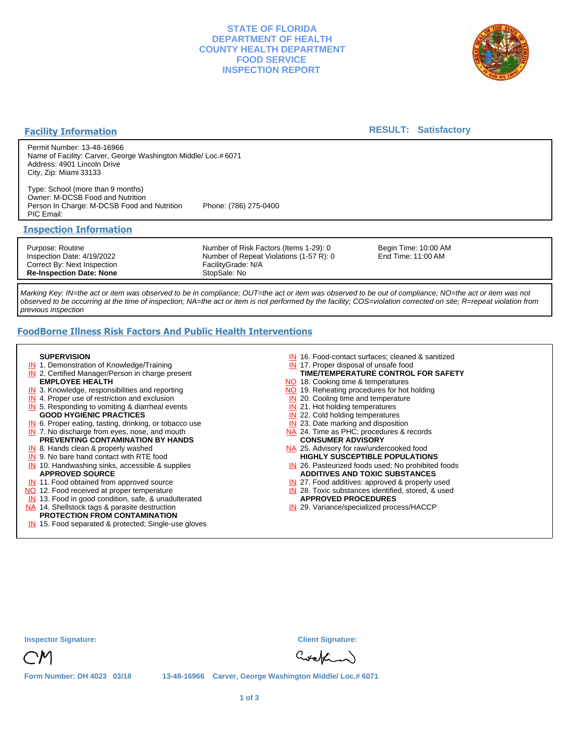### **STATE OF FLORIDA DEPARTMENT OF HEALTH COUNTY HEALTH DEPARTMENT FOOD SERVICE INSPECTION REPORT**



### **Facility Information**

### **RESULT: Satisfactory**

Permit Number: 13-48-16966 Name of Facility: Carver, George Washington Middle/ Loc.# 6071 Address: 4901 Lincoln Drive City, Zip: Miami 33133

Type: School (more than 9 months) Owner: M-DCSB Food and Nutrition Person In Charge: M-DCSB Food and Nutrition Phone: (786) 275-0400 PIC Email:

### **Inspection Information**

Purpose: Routine Inspection Date: 4/19/2022 Correct By: Next Inspection **Re-Inspection Date: None**

Number of Risk Factors (Items 1-29): 0 Number of Repeat Violations (1-57 R): 0 FacilityGrade: N/A StopSale: No

Begin Time: 10:00 AM End Time: 11:00 AM

Marking Key: IN=the act or item was observed to be in compliance; OUT=the act or item was observed to be out of compliance; NO=the act or item was not observed to be occurring at the time of inspection; NA=the act or item is not performed by the facility; COS=violation corrected on site; R=repeat violation from previous inspection

# **FoodBorne Illness Risk Factors And Public Health Interventions**

#### **SUPERVISION**

- **IN** 1. Demonstration of Knowledge/Training
- **IN** 2. Certified Manager/Person in charge present **EMPLOYEE HEALTH**
- **IN** 3. Knowledge, responsibilities and reporting
- **IN** 4. Proper use of restriction and exclusion
- **IN** 5. Responding to vomiting & diarrheal events
- **GOOD HYGIENIC PRACTICES**
- **IN** 6. Proper eating, tasting, drinking, or tobacco use **IN** 7. No discharge from eyes, nose, and mouth
- **PREVENTING CONTAMINATION BY HANDS**
- IN 8. Hands clean & properly washed
- **IN** 9. No bare hand contact with RTE food IN 10. Handwashing sinks, accessible & supplies **APPROVED SOURCE**
- **IN** 11. Food obtained from approved source
- NO 12. Food received at proper temperature
- IN 13. Food in good condition, safe, & unadulterated
- NA 14. Shellstock tags & parasite destruction

# **PROTECTION FROM CONTAMINATION**

IN 15. Food separated & protected; Single-use gloves

- IN 16. Food-contact surfaces; cleaned & sanitized
- IN 17. Proper disposal of unsafe food
- **TIME/TEMPERATURE CONTROL FOR SAFETY**
- NO 18. Cooking time & temperatures
- NO 19. Reheating procedures for hot holding
- **IN** 20. Cooling time and temperature
- IN 21. Hot holding temperatures **IN** 22. Cold holding temperatures
- **IN** 23. Date marking and disposition
- NA 24. Time as PHC; procedures & records **CONSUMER ADVISORY**
- NA 25. Advisory for raw/undercooked food **HIGHLY SUSCEPTIBLE POPULATIONS**
- IN 26. Pasteurized foods used; No prohibited foods **ADDITIVES AND TOXIC SUBSTANCES**
- IN 27. Food additives: approved & properly used
- IN 28. Toxic substances identified, stored, & used **APPROVED PROCEDURES**
- IN 29. Variance/specialized process/HACCP

| <b>Inspector Signature:</b>       |  | <b>Client Signature:</b>                                 |
|-----------------------------------|--|----------------------------------------------------------|
| CM                                |  | Crekin                                                   |
| <b>Form Number: DH 4023 03/18</b> |  | 13-48-16966 Carver, George Washington Middle/ Loc.# 6071 |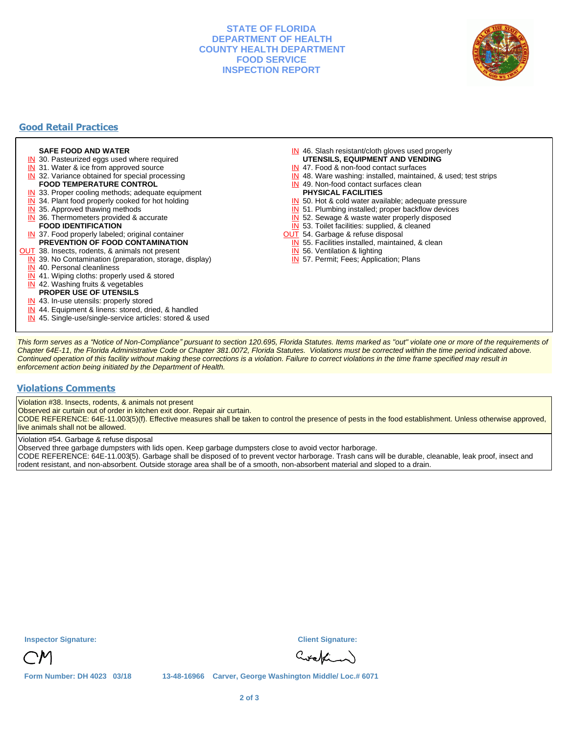### **STATE OF FLORIDA DEPARTMENT OF HEALTH COUNTY HEALTH DEPARTMENT FOOD SERVICE INSPECTION REPORT**



## **Good Retail Practices**

#### **SAFE FOOD AND WATER**

- **IN** 30. Pasteurized eggs used where required
- IN 31. Water & ice from approved source
- **IN** 32. Variance obtained for special processing
- **FOOD TEMPERATURE CONTROL**
- **IN** 33. Proper cooling methods; adequate equipment
- **IN** 34. Plant food properly cooked for hot holding
- **IN** 35. Approved thawing methods
- IN 36. Thermometers provided & accurate **FOOD IDENTIFICATION**
- IN 37. Food properly labeled; original container **PREVENTION OF FOOD CONTAMINATION**
- **OUT** 38. Insects, rodents, & animals not present
	- **IN** 39. No Contamination (preparation, storage, display)
	- IN 40. Personal cleanliness
	- IN 41. Wiping cloths: properly used & stored
	- IN 42. Washing fruits & vegetables
	- **PROPER USE OF UTENSILS**
	- IN 43. In-use utensils: properly stored
	- IN 44. Equipment & linens: stored, dried, & handled
	- IN 45. Single-use/single-service articles: stored & used
- IN 46. Slash resistant/cloth gloves used properly
- **UTENSILS, EQUIPMENT AND VENDING**
- IN 47. Food & non-food contact surfaces
- IN 48. Ware washing: installed, maintained, & used; test strips
- IN 49. Non-food contact surfaces clean
- **PHYSICAL FACILITIES**
- IN 50. Hot & cold water available; adequate pressure
- IN 51. Plumbing installed; proper backflow devices
- IN 52. Sewage & waste water properly disposed
- IN 53. Toilet facilities: supplied, & cleaned
- **OUT** 54. Garbage & refuse disposal
	- IN 55. Facilities installed, maintained, & clean
	- IN 56. Ventilation & lighting
	- IN 57. Permit; Fees; Application; Plans

This form serves as a "Notice of Non-Compliance" pursuant to section 120.695, Florida Statutes. Items marked as "out" violate one or more of the requirements of Chapter 64E-11, the Florida Administrative Code or Chapter 381.0072, Florida Statutes. Violations must be corrected within the time period indicated above. Continued operation of this facility without making these corrections is a violation. Failure to correct violations in the time frame specified may result in enforcement action being initiated by the Department of Health.

#### **Violations Comments**

Violation #38. Insects, rodents, & animals not present

Observed air curtain out of order in kitchen exit door. Repair air curtain.

CODE REFERENCE: 64E-11.003(5)(f). Effective measures shall be taken to control the presence of pests in the food establishment. Unless otherwise approved, live animals shall not be allowed.

Violation #54. Garbage & refuse disposal

Observed three garbage dumpsters with lids open. Keep garbage dumpsters close to avoid vector harborage.

CODE REFERENCE: 64E-11.003(5). Garbage shall be disposed of to prevent vector harborage. Trash cans will be durable, cleanable, leak proof, insect and rodent resistant, and non-absorbent. Outside storage area shall be of a smooth, non-absorbent material and sloped to a drain.

| nspector Signature: |  |
|---------------------|--|
|                     |  |

**Inspector Signature: Client Signature:**

Curation

**Form Number: DH 4023 03/18 13-48-16966 Carver, George Washington Middle/ Loc.# 6071**